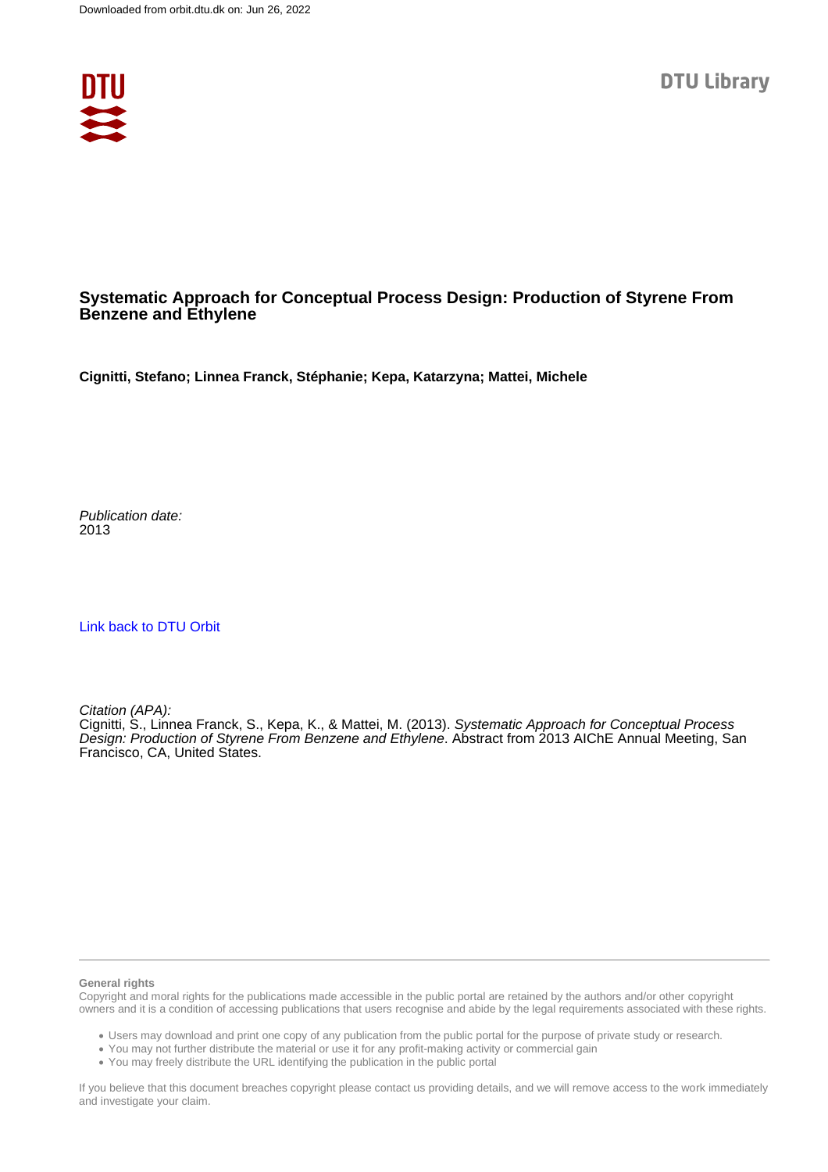

## **Systematic Approach for Conceptual Process Design: Production of Styrene From Benzene and Ethylene**

**Cignitti, Stefano; Linnea Franck, Stéphanie; Kepa, Katarzyna; Mattei, Michele**

Publication date: 2013

[Link back to DTU Orbit](https://orbit.dtu.dk/en/publications/03b0119d-f140-41c4-8252-20dd66362e13)

Citation (APA):

Cignitti, S., Linnea Franck, S., Kepa, K., & Mattei, M. (2013). Systematic Approach for Conceptual Process Design: Production of Styrene From Benzene and Ethylene. Abstract from 2013 AIChE Annual Meeting, San Francisco, CA, United States.

#### **General rights**

Copyright and moral rights for the publications made accessible in the public portal are retained by the authors and/or other copyright owners and it is a condition of accessing publications that users recognise and abide by the legal requirements associated with these rights.

Users may download and print one copy of any publication from the public portal for the purpose of private study or research.

- You may not further distribute the material or use it for any profit-making activity or commercial gain
- You may freely distribute the URL identifying the publication in the public portal

If you believe that this document breaches copyright please contact us providing details, and we will remove access to the work immediately and investigate your claim.